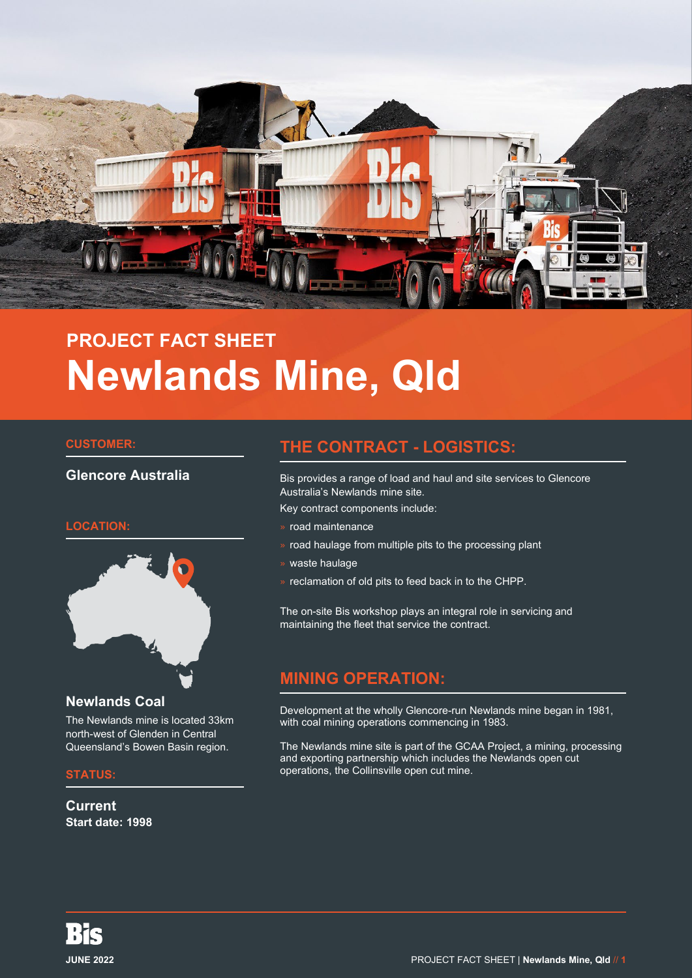

# **PROJECT FACT SHEET Newlands Mine, Qld**

#### **CUSTOMER:**

## **Glencore Australia**

## **LOCATION:**



#### **Newlands Coal**

The Newlands mine is located 33km north-west of Glenden in Central Queensland's Bowen Basin region.

#### **STATUS:**

**Current Start date: 1998**

# **THE CONTRACT - LOGISTICS:**

Bis provides a range of load and haul and site services to Glencore Australia's Newlands mine site.

Key contract components include:

- » road maintenance
- » road haulage from multiple pits to the processing plant
- » waste haulage
- » reclamation of old pits to feed back in to the CHPP.

The on-site Bis workshop plays an integral role in servicing and maintaining the fleet that service the contract.

# **MINING OPERATION:**

Development at the wholly Glencore-run Newlands mine began in 1981, with coal mining operations commencing in 1983.

The Newlands mine site is part of the GCAA Project, a mining, processing and exporting partnership which includes the Newlands open cut operations, the Collinsville open cut mine.